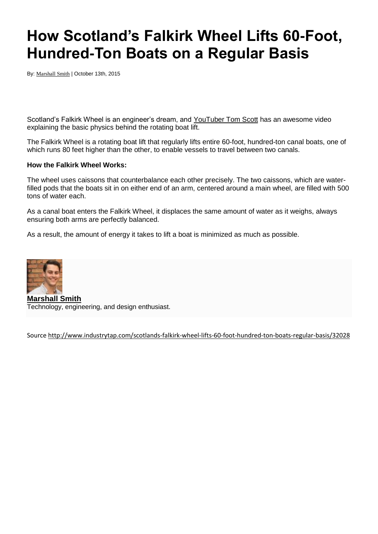## **How Scotland's Falkirk Wheel Lifts 60-Foot, Hundred-Ton Boats on a Regular Basis**

By: [Marshall Smith](http://www.industrytap.com/author/marshall) | October 13th, 2015

Scotland's Falkirk Wheel is an engineer's dream, and [YouTuber Tom Scott](https://www.youtube.com/watch?v=qHO9gARac-w) has an awesome video explaining the basic physics behind the rotating boat lift.

The Falkirk Wheel is a rotating boat lift that regularly lifts entire 60-foot, hundred-ton canal boats, one of which runs 80 feet higher than the other, to enable vessels to travel between two canals.

## **How the Falkirk Wheel Works:**

The wheel uses caissons that counterbalance each other precisely. The two caissons, which are waterfilled pods that the boats sit in on either end of an arm, centered around a main wheel, are filled with 500 tons of water each.

As a canal boat enters the Falkirk Wheel, it displaces the same amount of water as it weighs, always ensuring both arms are perfectly balanced.

As a result, the amount of energy it takes to lift a boat is minimized as much as possible.



**[Marshall Smith](http://www.engnetglobal.com/)** Technology, engineering, and design enthusiast.

Sourc[e http://www.industrytap.com/scotlands-falkirk-wheel-lifts-60-foot-hundred-ton-boats-regular-basis/32028](http://www.industrytap.com/scotlands-falkirk-wheel-lifts-60-foot-hundred-ton-boats-regular-basis/32028)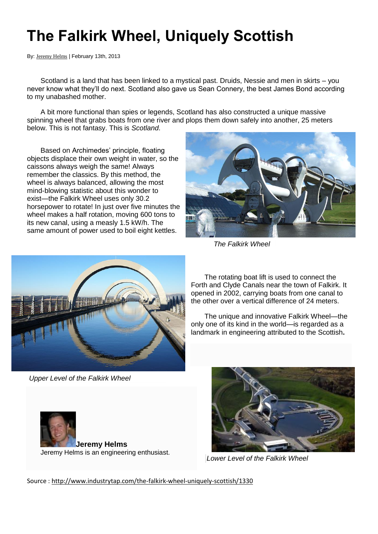## **The Falkirk Wheel, Uniquely Scottish**

By: [Jeremy Helms](http://www.industrytap.com/author/jeremy-helms) | February 13th, 2013

Scotland is a land that has been linked to a mystical past. Druids, Nessie and men in skirts – you never know what they'll do next. Scotland also gave us Sean Connery, the best James Bond according to my unabashed mother.

A bit more functional than spies or legends, Scotland has also constructed a unique massive spinning wheel that grabs boats from one river and plops them down safely into another, 25 meters below. This is not fantasy. This is *Scotland*.

Based on Archimedes' principle, floating objects displace their own weight in water, so the caissons always weigh the same! Always remember the classics. By this method, the wheel is always balanced, allowing the most mind-blowing statistic about this wonder to exist—the Falkirk Wheel uses only 30.2 horsepower to rotate! In just over five minutes the wheel makes a half rotation, moving 600 tons to its new canal, using a measly 1.5 kW/h. The same amount of power used to boil eight kettles.



*The Falkirk Wheel*



*Upper Level of the Falkirk Wheel*

The rotating boat lift is used to connect the Forth and Clyde Canals near the town of Falkirk. It opened in 2002, carrying boats from one canal to the other over a vertical difference of 24 meters.

The unique and innovative Falkirk Wheel—the only one of its kind in the world—is regarded as a landmark in engineering attributed to the Scottish**.**





*Lower Level of the Falkirk Wheel*

Source :<http://www.industrytap.com/the-falkirk-wheel-uniquely-scottish/1330>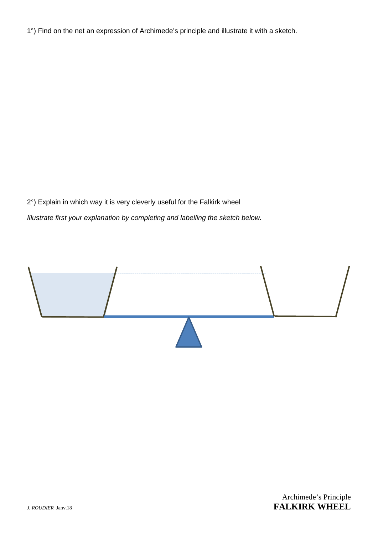1°) Find on the net an expression of Archimede's principle and illustrate it with a sketch.

2°) Explain in which way it is very cleverly useful for the Falkirk wheel *Illustrate first your explanation by completing and labelling the sketch below.*